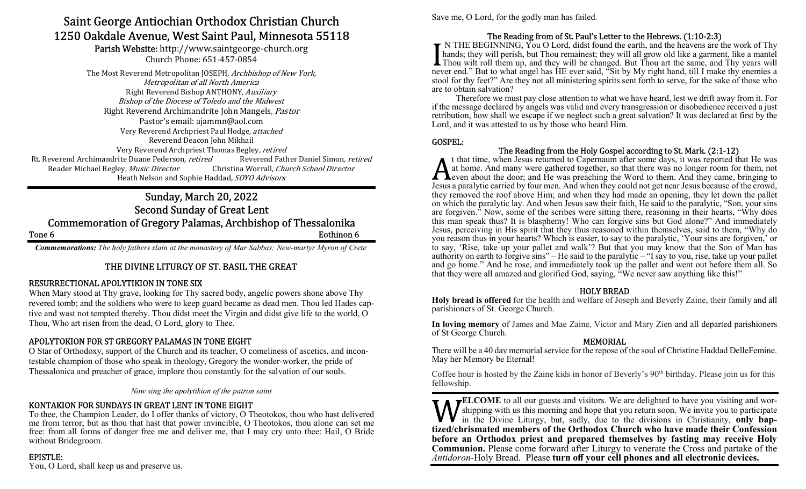# Saint George Antiochian Orthodox Christian Church 1250 Oakdale Avenue, West Saint Paul, Minnesota 55118

Parish Website: http://www.saintgeorge-church.org Church Phone: 651-457-0854

The Most Reverend Metropolitan JOSEPH, Archbishop of New York, Metropolitan of all North America Right Reverend Bishop ANTHONY, Auxiliary Bishop of the Diocese of Toledo and the Midwest Right Reverend Archimandrite John Mangels, Pastor Pastor's email: ajammn@aol.com Very Reverend Archpriest Paul Hodge, attached Reverend Deacon John Mikhail Very Reverend Archpriest Thomas Begley, retired Rt. Reverend Archimandrite Duane Pederson, *retired* Reverend Father Daniel Simon, *retired* Reader Michael Begley, Music Director Christina Worrall, Church School Director Heath Nelson and Sophie Haddad, SOYO Advisors

# Sunday, March 20, 2022 Second Sunday of Great Lent Commemoration of Gregory Palamas, Archbishop of Thessalonika Tone 6 Eothinon 6

Commemorations: The holy fathers slain at the monastery of Mar Sabbas; New-martyr Myron of Crete

# THE DIVINE LITURGY OF ST. BASIL THE GREAT

# RESURRECTIONAL APOLYTIKION IN TONE SIX

When Mary stood at Thy grave, looking for Thy sacred body, angelic powers shone above Thy revered tomb; and the soldiers who were to keep guard became as dead men. Thou led Hades captive and wast not tempted thereby. Thou didst meet the Virgin and didst give life to the world, O Thou, Who art risen from the dead, O Lord, glory to Thee.

# APOLYTOKION FOR ST GREGORY PALAMAS IN TONE EIGHT

O Star of Orthodoxy, support of the Church and its teacher, O comeliness of ascetics, and incontestable champion of those who speak in theology, Gregory the wonder-worker, the pride of Thessalonica and preacher of grace, implore thou constantly for the salvation of our souls.

Now sing the apolytikion of the patron saint

# KONTAKION FOR SUNDAYS IN GREAT LENT IN TONE EIGHT

To thee, the Champion Leader, do I offer thanks of victory, O Theotokos, thou who hast delivered me from terror; but as thou that hast that power invincible, O Theotokos, thou alone can set me free: from all forms of danger free me and deliver me, that I may cry unto thee: Hail, O Bride without Bridegroom.

# EPISTLE:

You, O Lord, shall keep us and preserve us.

Save me, O Lord, for the godly man has failed.

# The Reading from of St. Paul's Letter to the Hebrews. (1:10-2:3)

 $\blacktriangleright$  N THE BEGINNING, You O Lord, didst found the earth, and the heavens are the work of Thy hands; they will perish, but Thou remainest; they will all grow old like a garment, like a mantel Thou wilt roll them up, and they will be changed. But Thou art the same, and Thy years will never end." But to what angel has HE ever said, "Sit by My right hand, till I make thy enemies a stool for thy feet?" Are they not all ministering spirits sent forth to serve, for the sake of those who are to obtain salvation?

 Therefore we must pay close attention to what we have heard, lest we drift away from it. For if the message declared by angels was valid and every transgression or disobedience received a just retribution, how shall we escape if we neglect such a great salvation? It was declared at first by the Lord, and it was attested to us by those who heard Him.

### GOSPEL:

### The Reading from the Holy Gospel according to St. Mark. (2:1-12)

t that time, when Jesus returned to Capernaum after some days, it was reported that He was at home. And many were gathered together, so that there was no longer room for them, not even about the door; and He was preaching the Word to them. And they came, bringing to Jesus a paralytic carried by four men. And when they could not get near Jesus because of the crowd, they removed the roof above Him; and when they had made an opening, they let down the pallet on which the paralytic lay. And when Jesus saw their faith, He said to the paralytic, "Son, your sins are forgiven." Now, some of the scribes were sitting there, reasoning in their hearts, "Why does this man speak thus? It is blasphemy! Who can forgive sins but God alone?" And immediately Jesus, perceiving in His spirit that they thus reasoned within themselves, said to them, "Why do you reason thus in your hearts? Which is easier, to say to the paralytic, 'Your sins are forgiven,' or to say, 'Rise, take up your pallet and walk'? But that you may know that the Son of Man has authority on earth to forgive sins" – He said to the paralytic – "I say to you, rise, take up your pallet and go home." And he rose, and immediately took up the pallet and went out before them all. So that they were all amazed and glorified God, saying, "We never saw anything like this!"

#### HOLY BREAD

Holy bread is offered for the health and welfare of Joseph and Beverly Zaine, their family and all parishioners of St. George Church.

In loving memory of James and Mae Zaine, Victor and Mary Zien and all departed parishioners of St George Church.

#### MEMORIAL

There will be a 40 day memorial service for the repose of the soul of Christine Haddad DelleFemine. May her Memory be Eternal!

Coffee hour is hosted by the Zaine kids in honor of Beverly's 90<sup>th</sup> birthday. Please join us for this fellowship.

ELCOME to all our guests and visitors. We are delighted to have you visiting and worshipping with us this morning and hope that you return soon. We invite you to participate in the Divine Liturgy, but, sadly, due to the divisions in Christianity, only baptized/chrismated members of the Orthodox Church who have made their Confession before an Orthodox priest and prepared themselves by fasting may receive Holy Communion. Please come forward after Liturgy to venerate the Cross and partake of the Antidoron-Holy Bread. Please turn off your cell phones and all electronic devices.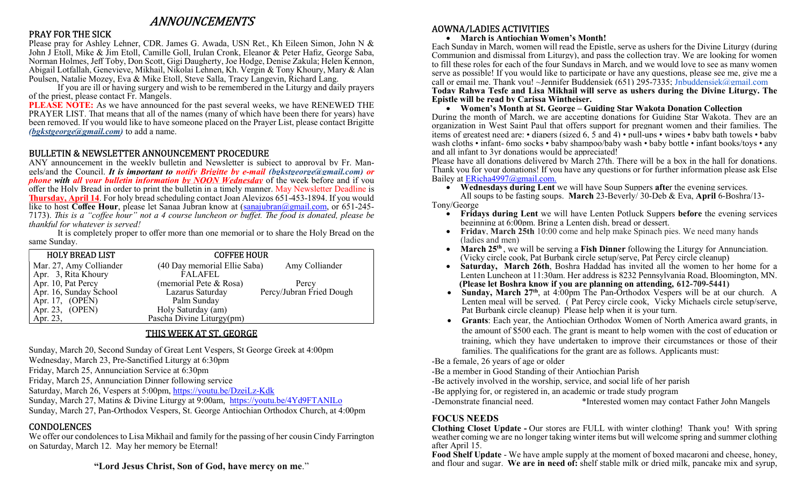# ANNOUNCEMENTS

### PRAY FOR THE SICK

Please pray for Ashley Lehner, CDR. James G. Awada, USN Ret., Kh Eileen Simon, John N & John J Etoll, Mike & Jim Etoll, Camille Goll, Irulan Cronk, Eleanor & Peter Hafiz, George Saba, Norman Holmes, Jeff Toby, Don Scott, Gigi Daugherty, Joe Hodge, Denise Zakula; Helen Kennon, Abigail Lotfallah, Genevieve, Mikhail, Nikolai Lehnen, Kh. Vergin & Tony Khoury, Mary & Alan Poulsen, Natalie Mozey, Eva & Mike Etoll, Steve Salla, Tracy Langevin, Richard Lang.

 If you are ill or having surgery and wish to be remembered in the Liturgy and daily prayers of the priest, please contact Fr. Mangels.

PLEASE NOTE: As we have announced for the past several weeks, we have RENEWED THE PRAYER LIST. That means that all of the names (many of which have been there for years) have been removed. If you would like to have someone placed on the Prayer List, please contact Brigitte (bgkstgeorge@gmail.com) to add a name.

# BULLETIN & NEWSLETTER ANNOUNCEMENT PROCEDURE

ANY announcement in the weekly bulletin and Newsletter is subject to approval by Fr. Mangels/and the Council. It is important to notify Brigitte by e-mail (bgkstgeorge@gmail.com) or **phone with all your bulletin information by NOON Wednesday** of the week before and if you offer the Holy Bread in order to print the bulletin in a timely manner. May Newsletter Deadline is **Thursday, April 14.** For holy bread scheduling contact Joan Alevizos 651-453-1894. If you would like to host Coffee Hour, please let Sanaa Jubran know at  $\frac{\text{tanajubran}(\partial \text{gmail.com})}{\text{tanajubran}(\partial \text{gmail.com})}$  or 651-245-7173). This is a "coffee hour" not a 4 course luncheon or buffet. The food is donated, please be thankful for whatever is served!

 It is completely proper to offer more than one memorial or to share the Holy Bread on the same Sunday.

| <b>HOLY BREAD LIST</b>  | <b>COFFEE HOUR</b>           |                          |
|-------------------------|------------------------------|--------------------------|
| Mar. 27, Amy Colliander | (40 Day memorial Ellie Saba) | Amy Colliander           |
| Apr. 3, Rita Khoury     | <b>FALAFEL</b>               |                          |
| Apr. 10, Pat Percy      | (memorial Pete & Rosa)       | Percy                    |
| Apr. 16, Sunday School  | Lazarus Saturday             | Percy/Jubran Fried Dough |
| Apr. 17, (OPEN)         | Palm Sunday                  |                          |
| Apr. 23, $(OPEN)$       | Holy Saturday (am)           |                          |
| Apr. 23,                | Pascha Divine Liturgy(pm)    |                          |

# THIS WEEK AT ST. GEORGE

Sunday, March 20, Second Sunday of Great Lent Vespers, St George Greek at 4:00pm

Wednesday, March 23, Pre-Sanctified Liturgy at 6:30pm

Friday, March 25, Annunciation Service at 6:30pm

Friday, March 25, Annunciation Dinner following service

Saturday, March 26, Vespers at 5:00pm, https://youtu.be/DzeiLz-Kdk

Sunday, March 27, Matins & Divine Liturgy at 9:00am, https://youtu.be/4Yd9FTANILo

Sunday, March 27, Pan-Orthodox Vespers, St. George Antiochian Orthodox Church, at 4:00pm

# CONDOLENCES

We offer our condolences to Lisa Mikhail and family for the passing of her cousin Cindy Farrington on Saturday, March 12. May her memory be Eternal!

"Lord Jesus Christ, Son of God, have mercy on me."

# AOWNA/LADIES ACTIVITIES

March is Antiochian Women's Month!

Each Sunday in March, women will read the Epistle, serve as ushers for the Divine Liturgy (during Communion and dismissal from Liturgy), and pass the collection tray. We are looking for women to fill these roles for each of the four Sundays in March, and we would love to see as many women serve as possible! If you would like to participate or have any questions, please see me, give me a call or email me. Thank you!  $\sim$ Jennifer Buddensiek (651) 295-7335; Jnbuddensiek@gmail.com Today Rahwa Tesfe and Lisa Mikhail will serve as ushers during the Divine Liturgy. The Epistle will be read by Carissa Wintheiser.

#### Women's Month at St. George – Guiding Star Wakota Donation Collection

During the month of March, we are accepting donations for Guiding Star Wakota. They are an organization in West Saint Paul that offers support for pregnant women and their families. The items of greatest need are: • diapers (sized 6, 5 and 4) • pull-ups • wipes • baby bath towels • baby wash cloths • infant- 6mo socks • baby shampoo/baby wash • baby bottle • infant books/toys • any and all infant to 3yr donations would be appreciated!

Please have all donations delivered by March 27th. There will be a box in the hall for donations. Thank you for your donations! If you have any questions or for further information please ask Else Bailey at ERicha4997@gmail.com.

 Wednesdays during Lent we will have Soup Suppers after the evening services. All soups to be fasting soups. March 23-Beverly/ 30-Deb & Eva, April 6-Boshra/13-

Tony/George

- Fridays during Lent we will have Lenten Potluck Suppers before the evening services beginning at 6:00pm. Bring a Lenten dish, bread or dessert.
- Friday, March 25th 10:00 come and help make Spinach pies. We need many hands (ladies and men)
- $\bullet$  March 25<sup>th</sup>, we will be serving a Fish Dinner following the Liturgy for Annunciation. (Vicky circle cook, Pat Burbank circle setup/serve, Pat Percy circle cleanup)
- Saturday, March 26th, Boshra Haddad has invited all the women to her home for a Lenten Luncheon at 11:30am. Her address is 8232 Pennsylvania Road, Bloomington, MN. (Please let Boshra know if you are planning on attending, 612-709-5441)
- Sunday, March 27<sup>th</sup>, at 4:00pm The Pan-Orthodox Vespers will be at our church. A Lenten meal will be served. (Pat Percy circle cook, Vicky Michaels circle setup/serve, Pat Burbank circle cleanup) Please help when it is your turn.
- Grants: Each year, the Antiochian Orthodox Women of North America award grants, in the amount of \$500 each. The grant is meant to help women with the cost of education or training, which they have undertaken to improve their circumstances or those of their families. The qualifications for the grant are as follows. Applicants must:

-Be a female, 26 years of age or older

-Be a member in Good Standing of their Antiochian Parish

-Be actively involved in the worship, service, and social life of her parish

-Be applying for, or registered in, an academic or trade study program

-Demonstrate financial need. \*Interested women may contact Father John Mangels

### FOCUS NEEDS

Clothing Closet Update - Our stores are FULL with winter clothing! Thank you! With spring weather coming we are no longer taking winter items but will welcome spring and summer clothing after April 15.

Food Shelf Update - We have ample supply at the moment of boxed macaroni and cheese, honey, and flour and sugar. We are in need of: shelf stable milk or dried milk, pancake mix and syrup,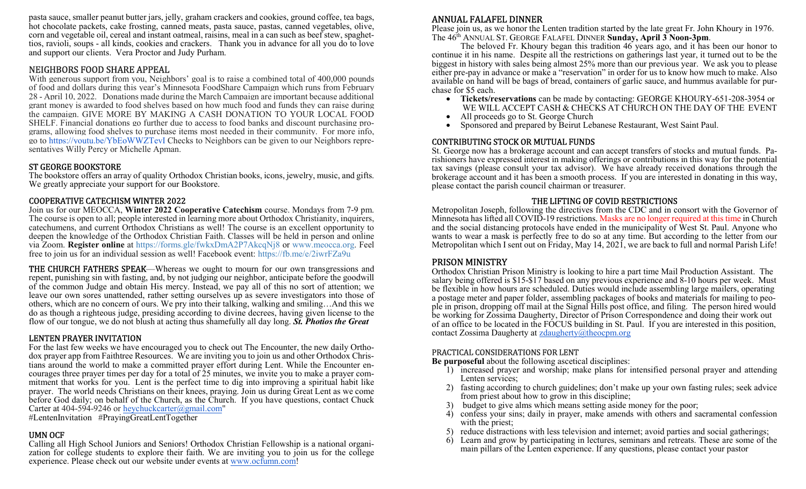pasta sauce, smaller peanut butter jars, jelly, graham crackers and cookies, ground coffee, tea bags, hot chocolate packets, cake frosting, canned meats, pasta sauce, pastas, canned vegetables, olive, corn and vegetable oil, cereal and instant oatmeal, raisins, meal in a can such as beef stew, spaghettios, ravioli, soups - all kinds, cookies and crackers. Thank you in advance for all you do to love and support our clients. Vera Proctor and Judy Purham.

### NEIGHBORS FOOD SHARE APPEAL

With generous support from you, Neighbors' goal is to raise a combined total of 400,000 pounds of food and dollars during this year's Minnesota FoodShare Campaign which runs from February 28 - April 10, 2022. Donations made during the March Campaign are important because additional grant money is awarded to food shelves based on how much food and funds they can raise during the campaign. GIVE MORE BY MAKING A CASH DONATION TO YOUR LOCAL FOOD SHELF. Financial donations go further due to access to food banks and discount purchasing programs, allowing food shelves to purchase items most needed in their community. For more info, go to https://youtu.be/YbEoWWZTevI Checks to Neighbors can be given to our Neighbors representatives Willy Percy or Michelle Apman.

### ST GEORGE BOOKSTORE

The bookstore offers an array of quality Orthodox Christian books, icons, jewelry, music, and gifts. We greatly appreciate your support for our Bookstore.

### COOPERATIVE CATECHISM WINTER 2022

Join us for our MEOCCA, Winter 2022 Cooperative Catechism course. Mondays from 7-9 pm. The course is open to all; people interested in learning more about Orthodox Christianity, inquirers, catechumens, and current Orthodox Christians as well! The course is an excellent opportunity to deepen the knowledge of the Orthodox Christian Faith. Classes will be held in person and online via Zoom. Register online at https://forms.gle/fwkxDmA2P7AkcqNj8 or www.meocca.org. Feel free to join us for an individual session as well! Facebook event: https://fb.me/e/2iwrFZa9u

THE CHURCH FATHERS SPEAK—Whereas we ought to mourn for our own transgressions and repent, punishing sin with fasting, and, by not judging our neighbor, anticipate before the goodwill of the common Judge and obtain His mercy. Instead, we pay all of this no sort of attention; we leave our own sores unattended, rather setting ourselves up as severe investigators into those of others, which are no concern of ours. We pry into their talking, walking and smiling…And this we do as though a righteous judge, presiding according to divine decrees, having given license to the flow of our tongue, we do not blush at acting thus shamefully all day long. St. Photios the Great

# LENTEN PRAYER INVITATION

For the last few weeks we have encouraged you to check out The Encounter, the new daily Orthodox prayer app from Faithtree Resources. We are inviting you to join us and other Orthodox Christians around the world to make a committed prayer effort during Lent. While the Encounter encourages three prayer times per day for a total of 25 minutes, we invite you to make a prayer commitment that works for you. Lent is the perfect time to dig into improving a spiritual habit like prayer. The world needs Christians on their knees, praying. Join us during Great Lent as we come before God daily; on behalf of the Church, as the Church. If you have questions, contact Chuck Carter at 404-594-9246 or heychuckcarter@gmail.com"

#LentenInvitation #PrayingGreatLentTogether

### UMN OCF

Calling all High School Juniors and Seniors! Orthodox Christian Fellowship is a national organization for college students to explore their faith. We are inviting you to join us for the college experience. Please check out our website under events at www.ocfumn.com!

# ANNUAL FALAFEL DINNER

Please join us, as we honor the Lenten tradition started by the late great Fr. John Khoury in 1976. The 46<sup>th</sup> ANNUAL ST. GEORGE FALAFEL DINNER Sunday, April 3 Noon-3pm.

 The beloved Fr. Khoury began this tradition 46 years ago, and it has been our honor to continue it in his name. Despite all the restrictions on gatherings last year, it turned out to be the biggest in history with sales being almost 25% more than our previous year. We ask you to please either pre-pay in advance or make a "reservation" in order for us to know how much to make. Also available on hand will be bags of bread, containers of garlic sauce, and hummus available for purchase for \$5 each.

- Tickets/reservations can be made by contacting: GEORGE KHOURY-651-208-3954 or WE WILL ACCEPT CASH & CHECKS AT CHURCH ON THE DAY OF THE EVENT
- All proceeds go to St. George Church
- Sponsored and prepared by Beirut Lebanese Restaurant, West Saint Paul.

# CONTRIBUTING STOCK OR MUTUAL FUNDS

St. George now has a brokerage account and can accept transfers of stocks and mutual funds. Parishioners have expressed interest in making offerings or contributions in this way for the potential tax savings (please consult your tax advisor). We have already received donations through the brokerage account and it has been a smooth process. If you are interested in donating in this way, please contact the parish council chairman or treasurer.

#### THE LIFTING OF COVID RESTRICTIONS

Metropolitan Joseph, following the directives from the CDC and in consort with the Governor of Minnesota has lifted all COVID-19 restrictions. Masks are no longer required at this time in Church and the social distancing protocols have ended in the municipality of West St. Paul. Anyone who wants to wear a mask is perfectly free to do so at any time. But according to the letter from our Metropolitan which I sent out on Friday, May 14, 2021, we are back to full and normal Parish Life!

# PRISON MINISTRY

Orthodox Christian Prison Ministry is looking to hire a part time Mail Production Assistant. The salary being offered is \$15-\$17 based on any previous experience and 8-10 hours per week. Must be flexible in how hours are scheduled. Duties would include assembling large mailers, operating a postage meter and paper folder, assembling packages of books and materials for mailing to people in prison, dropping off mail at the Signal Hills post office, and filing. The person hired would be working for Zossima Daugherty, Director of Prison Correspondence and doing their work out of an office to be located in the FOCUS building in St. Paul. If you are interested in this position, contact Zossima Daugherty at zdaugherty@theocpm.org

#### PRACTICAL CONSIDERATIONS FOR LENT

Be purposeful about the following ascetical disciplines:

- 1) increased prayer and worship; make plans for intensified personal prayer and attending Lenten services;
- 2) fasting according to church guidelines; don't make up your own fasting rules; seek advice from priest about how to grow in this discipline;
- 3) budget to give alms which means setting aside money for the poor;
- 4) confess your sins; daily in prayer, make amends with others and sacramental confession with the priest:
- 5) reduce distractions with less television and internet; avoid parties and social gatherings;
- 6) Learn and grow by participating in lectures, seminars and retreats. These are some of the main pillars of the Lenten experience. If any questions, please contact your pastor